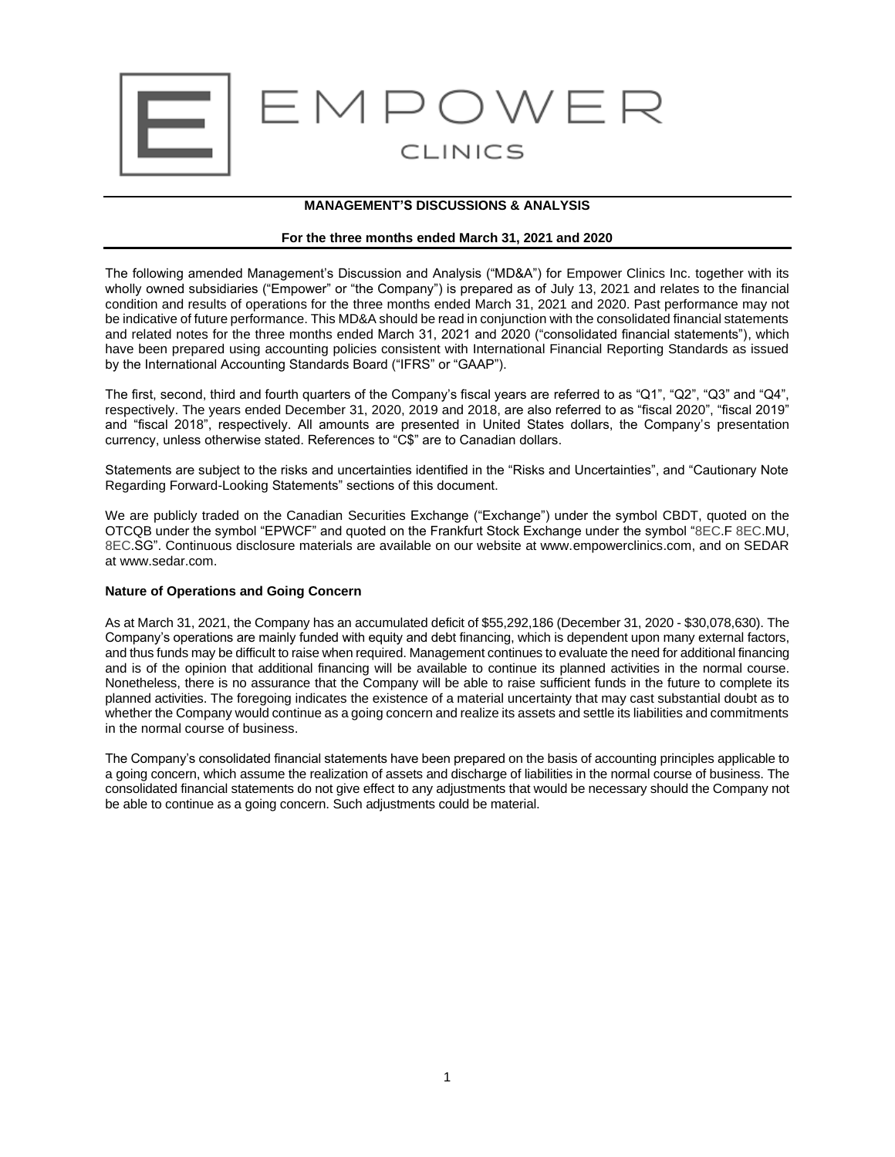

## **MANAGEMENT'S DISCUSSIONS & ANALYSIS**

#### **For the three months ended March 31, 2021 and 2020**

The following amended Management's Discussion and Analysis ("MD&A") for Empower Clinics Inc. together with its wholly owned subsidiaries ("Empower" or "the Company") is prepared as of July 13, 2021 and relates to the financial condition and results of operations for the three months ended March 31, 2021 and 2020. Past performance may not be indicative of future performance. This MD&A should be read in conjunction with the consolidated financial statements and related notes for the three months ended March 31, 2021 and 2020 ("consolidated financial statements"), which have been prepared using accounting policies consistent with International Financial Reporting Standards as issued by the International Accounting Standards Board ("IFRS" or "GAAP").

The first, second, third and fourth quarters of the Company's fiscal years are referred to as "Q1", "Q2", "Q3" and "Q4", respectively. The years ended December 31, 2020, 2019 and 2018, are also referred to as "fiscal 2020", "fiscal 2019" and "fiscal 2018", respectively. All amounts are presented in United States dollars, the Company's presentation currency, unless otherwise stated. References to "C\$" are to Canadian dollars.

Statements are subject to the risks and uncertainties identified in the "Risks and Uncertainties", and "Cautionary Note Regarding Forward-Looking Statements" sections of this document.

We are publicly traded on the Canadian Securities Exchange ("Exchange") under the symbol CBDT, quoted on the OTCQB under the symbol "EPWCF" and quoted on the Frankfurt Stock Exchange under the symbol "8EC.F 8EC.MU, 8EC.SG". Continuous disclosure materials are available on our website at www.empowerclinics.com, and on SEDAR at www.sedar.com.

#### **Nature of Operations and Going Concern**

As at March 31, 2021, the Company has an accumulated deficit of \$55,292,186 (December 31, 2020 - \$30,078,630). The Company's operations are mainly funded with equity and debt financing, which is dependent upon many external factors, and thus funds may be difficult to raise when required. Management continues to evaluate the need for additional financing and is of the opinion that additional financing will be available to continue its planned activities in the normal course. Nonetheless, there is no assurance that the Company will be able to raise sufficient funds in the future to complete its planned activities. The foregoing indicates the existence of a material uncertainty that may cast substantial doubt as to whether the Company would continue as a going concern and realize its assets and settle its liabilities and commitments in the normal course of business.

The Company's consolidated financial statements have been prepared on the basis of accounting principles applicable to a going concern, which assume the realization of assets and discharge of liabilities in the normal course of business. The consolidated financial statements do not give effect to any adjustments that would be necessary should the Company not be able to continue as a going concern. Such adjustments could be material.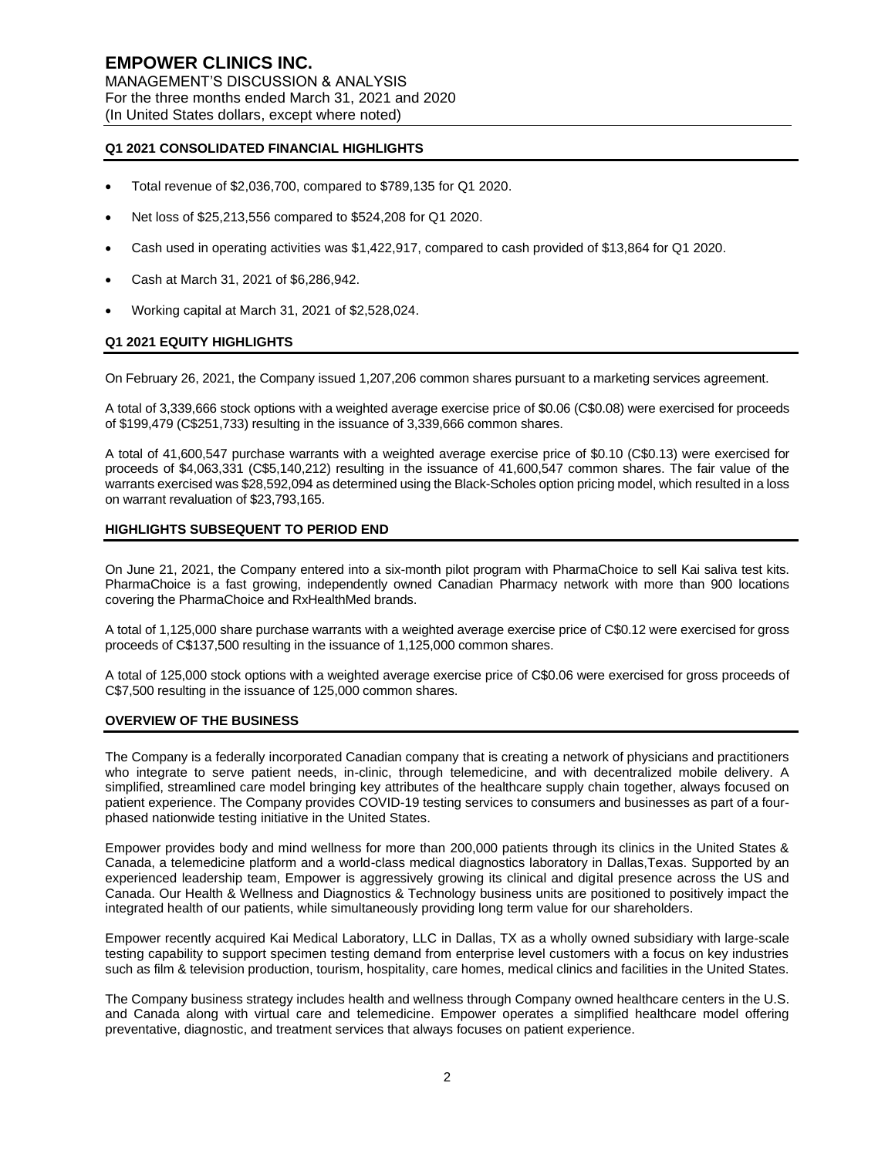## **Q1 2021 CONSOLIDATED FINANCIAL HIGHLIGHTS**

- Total revenue of \$2,036,700, compared to \$789,135 for Q1 2020.
- Net loss of \$25,213,556 compared to \$524,208 for Q1 2020.
- Cash used in operating activities was \$1,422,917, compared to cash provided of \$13,864 for Q1 2020.
- Cash at March 31, 2021 of \$6,286,942.
- Working capital at March 31, 2021 of \$2,528,024.

#### **Q1 2021 EQUITY HIGHLIGHTS**

On February 26, 2021, the Company issued 1,207,206 common shares pursuant to a marketing services agreement.

A total of 3,339,666 stock options with a weighted average exercise price of \$0.06 (C\$0.08) were exercised for proceeds of \$199,479 (C\$251,733) resulting in the issuance of 3,339,666 common shares.

A total of 41,600,547 purchase warrants with a weighted average exercise price of \$0.10 (C\$0.13) were exercised for proceeds of \$4,063,331 (C\$5,140,212) resulting in the issuance of 41,600,547 common shares. The fair value of the warrants exercised was \$28,592,094 as determined using the Black-Scholes option pricing model, which resulted in a loss on warrant revaluation of \$23,793,165.

## **HIGHLIGHTS SUBSEQUENT TO PERIOD END**

On June 21, 2021, the Company entered into a six-month pilot program with PharmaChoice to sell Kai saliva test kits. PharmaChoice is a fast growing, independently owned Canadian Pharmacy network with more than 900 locations covering the PharmaChoice and RxHealthMed brands.

A total of 1,125,000 share purchase warrants with a weighted average exercise price of C\$0.12 were exercised for gross proceeds of C\$137,500 resulting in the issuance of 1,125,000 common shares.

A total of 125,000 stock options with a weighted average exercise price of C\$0.06 were exercised for gross proceeds of C\$7,500 resulting in the issuance of 125,000 common shares.

#### **OVERVIEW OF THE BUSINESS**

The Company is a federally incorporated Canadian company that is creating a network of physicians and practitioners who integrate to serve patient needs, in-clinic, through telemedicine, and with decentralized mobile delivery. A simplified, streamlined care model bringing key attributes of the healthcare supply chain together, always focused on patient experience. The Company provides COVID-19 testing services to consumers and businesses as part of a fourphased nationwide testing initiative in the United States.

Empower provides body and mind wellness for more than 200,000 patients through its clinics in the United States & Canada, a telemedicine platform and a world-class medical diagnostics laboratory in Dallas,Texas. Supported by an experienced leadership team, Empower is aggressively growing its clinical and digital presence across the US and Canada. Our Health & Wellness and Diagnostics & Technology business units are positioned to positively impact the integrated health of our patients, while simultaneously providing long term value for our shareholders.

Empower recently acquired Kai Medical Laboratory, LLC in Dallas, TX as a wholly owned subsidiary with large-scale testing capability to support specimen testing demand from enterprise level customers with a focus on key industries such as film & television production, tourism, hospitality, care homes, medical clinics and facilities in the United States.

The Company business strategy includes health and wellness through Company owned healthcare centers in the U.S. and Canada along with virtual care and telemedicine. Empower operates a simplified healthcare model offering preventative, diagnostic, and treatment services that always focuses on patient experience.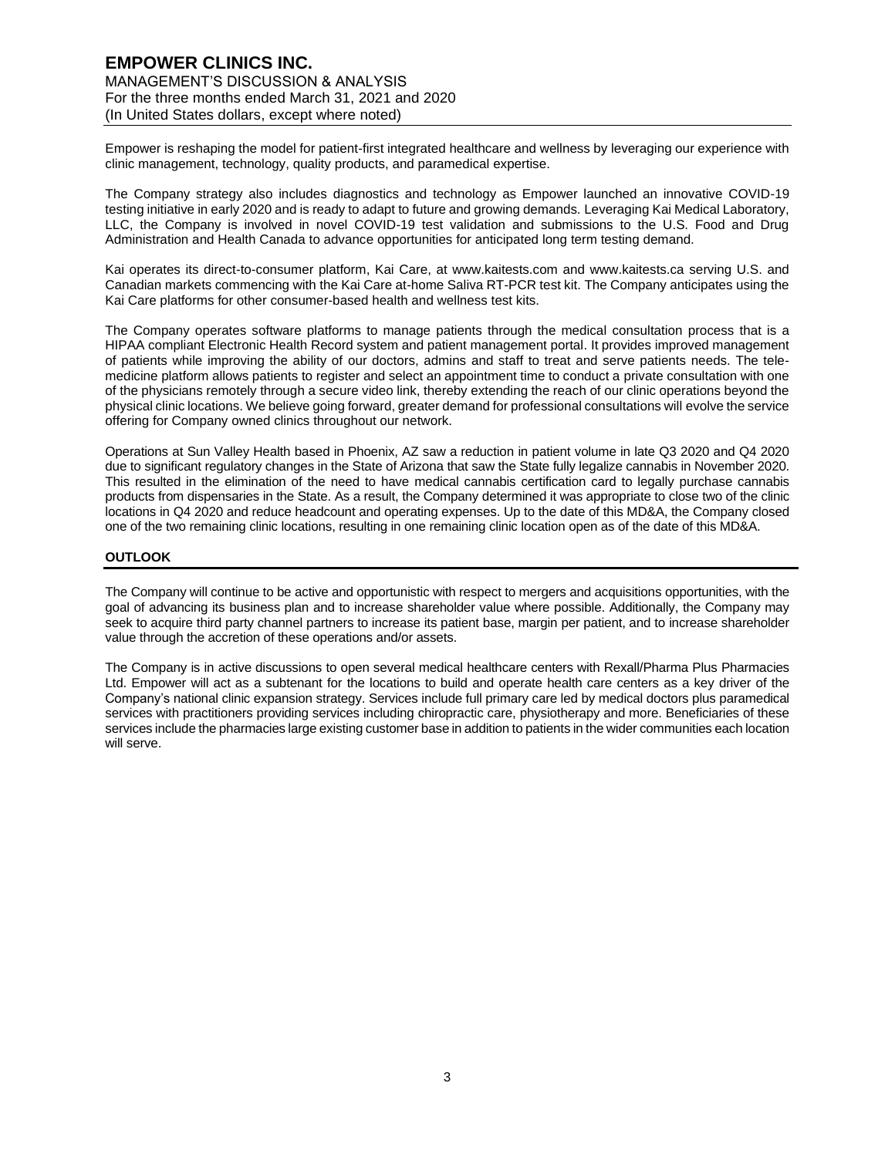## **EMPOWER CLINICS INC.** MANAGEMENT'S DISCUSSION & ANALYSIS For the three months ended March 31, 2021 and 2020 (In United States dollars, except where noted)

Empower is reshaping the model for patient-first integrated healthcare and wellness by leveraging our experience with clinic management, technology, quality products, and paramedical expertise.

The Company strategy also includes diagnostics and technology as Empower launched an innovative COVID-19 testing initiative in early 2020 and is ready to adapt to future and growing demands. Leveraging Kai Medical Laboratory, LLC, the Company is involved in novel COVID-19 test validation and submissions to the U.S. Food and Drug Administration and Health Canada to advance opportunities for anticipated long term testing demand.

Kai operates its direct-to-consumer platform, Kai Care, at www.kaitests.com and www.kaitests.ca serving U.S. and Canadian markets commencing with the Kai Care at-home Saliva RT-PCR test kit. The Company anticipates using the Kai Care platforms for other consumer-based health and wellness test kits.

The Company operates software platforms to manage patients through the medical consultation process that is a HIPAA compliant Electronic Health Record system and patient management portal. It provides improved management of patients while improving the ability of our doctors, admins and staff to treat and serve patients needs. The telemedicine platform allows patients to register and select an appointment time to conduct a private consultation with one of the physicians remotely through a secure video link, thereby extending the reach of our clinic operations beyond the physical clinic locations. We believe going forward, greater demand for professional consultations will evolve the service offering for Company owned clinics throughout our network.

Operations at Sun Valley Health based in Phoenix, AZ saw a reduction in patient volume in late Q3 2020 and Q4 2020 due to significant regulatory changes in the State of Arizona that saw the State fully legalize cannabis in November 2020. This resulted in the elimination of the need to have medical cannabis certification card to legally purchase cannabis products from dispensaries in the State. As a result, the Company determined it was appropriate to close two of the clinic locations in Q4 2020 and reduce headcount and operating expenses. Up to the date of this MD&A, the Company closed one of the two remaining clinic locations, resulting in one remaining clinic location open as of the date of this MD&A.

#### **OUTLOOK**

The Company will continue to be active and opportunistic with respect to mergers and acquisitions opportunities, with the goal of advancing its business plan and to increase shareholder value where possible. Additionally, the Company may seek to acquire third party channel partners to increase its patient base, margin per patient, and to increase shareholder value through the accretion of these operations and/or assets.

The Company is in active discussions to open several medical healthcare centers with Rexall/Pharma Plus Pharmacies Ltd. Empower will act as a subtenant for the locations to build and operate health care centers as a key driver of the Company's national clinic expansion strategy. Services include full primary care led by medical doctors plus paramedical services with practitioners providing services including chiropractic care, physiotherapy and more. Beneficiaries of these services include the pharmacies large existing customer base in addition to patients in the wider communities each location will serve.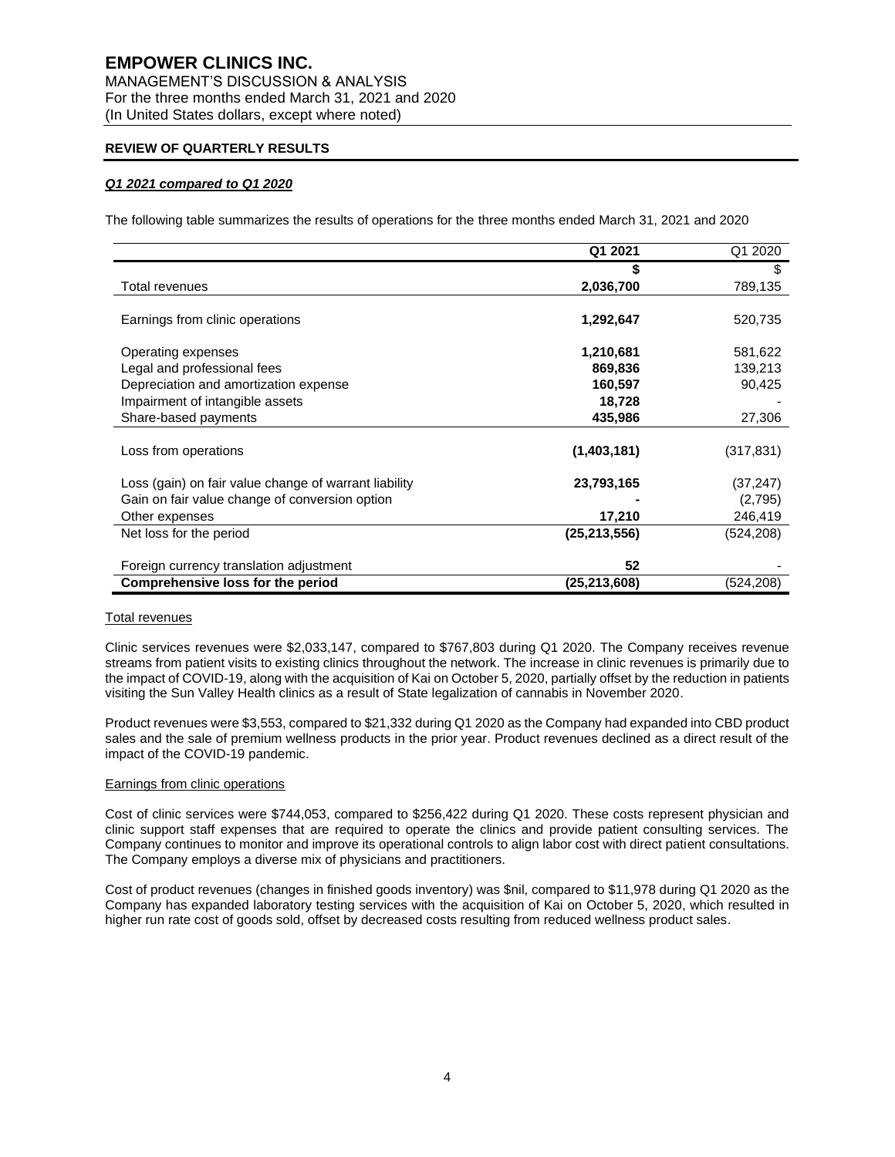# **EMPOWER CLINICS INC.** MANAGEMENT'S DISCUSSION & ANALYSIS For the three months ended March 31, 2021 and 2020

(In United States dollars, except where noted)

## **REVIEW OF QUARTERLY RESULTS**

## *Q1 2021 compared to Q1 2020*

The following table summarizes the results of operations for the three months ended March 31, 2021 and 2020

|                                                       | Q1 2021        | Q1 2020   |
|-------------------------------------------------------|----------------|-----------|
|                                                       |                | S         |
| Total revenues                                        | 2,036,700      | 789,135   |
| Earnings from clinic operations                       | 1,292,647      | 520,735   |
| Operating expenses                                    | 1,210,681      | 581,622   |
| Legal and professional fees                           | 869,836        | 139,213   |
| Depreciation and amortization expense                 | 160,597        | 90,425    |
| Impairment of intangible assets                       | 18,728         |           |
| Share-based payments                                  | 435,986        | 27,306    |
| Loss from operations                                  | (1,403,181)    | (317,831) |
| Loss (gain) on fair value change of warrant liability | 23,793,165     | (37, 247) |
| Gain on fair value change of conversion option        |                | (2,795)   |
| Other expenses                                        | 17,210         | 246,419   |
| Net loss for the period                               | (25, 213, 556) | (524,208) |
| Foreign currency translation adjustment               | 52             |           |
| Comprehensive loss for the period                     | (25, 213, 608) | (524,208) |

#### Total revenues

Clinic services revenues were \$2,033,147, compared to \$767,803 during Q1 2020. The Company receives revenue streams from patient visits to existing clinics throughout the network. The increase in clinic revenues is primarily due to the impact of COVID-19, along with the acquisition of Kai on October 5, 2020, partially offset by the reduction in patients visiting the Sun Valley Health clinics as a result of State legalization of cannabis in November 2020.

Product revenues were \$3,553, compared to \$21,332 during Q1 2020 as the Company had expanded into CBD product sales and the sale of premium wellness products in the prior year. Product revenues declined as a direct result of the impact of the COVID-19 pandemic.

#### Earnings from clinic operations

Cost of clinic services were \$744,053, compared to \$256,422 during Q1 2020. These costs represent physician and clinic support staff expenses that are required to operate the clinics and provide patient consulting services. The Company continues to monitor and improve its operational controls to align labor cost with direct patient consultations. The Company employs a diverse mix of physicians and practitioners.

Cost of product revenues (changes in finished goods inventory) was \$nil, compared to \$11,978 during Q1 2020 as the Company has expanded laboratory testing services with the acquisition of Kai on October 5, 2020, which resulted in higher run rate cost of goods sold, offset by decreased costs resulting from reduced wellness product sales.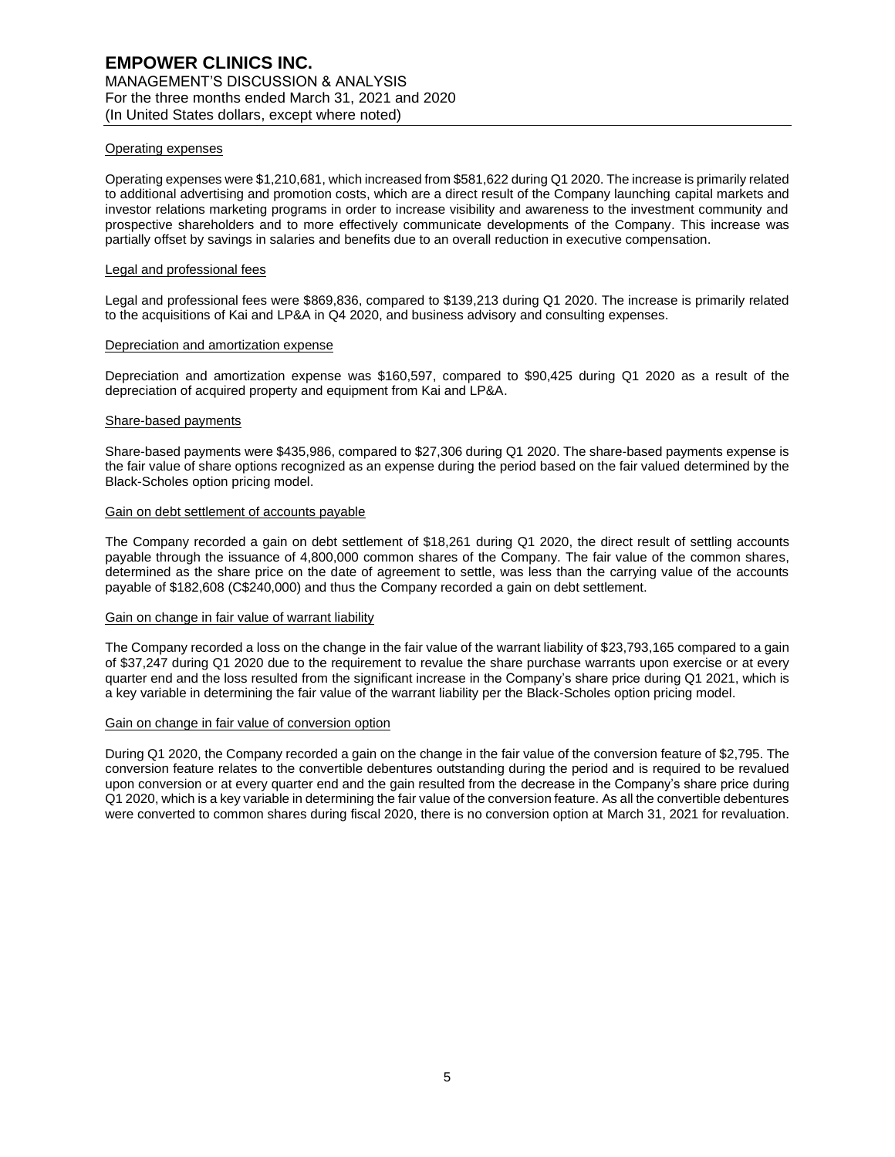#### Operating expenses

Operating expenses were \$1,210,681, which increased from \$581,622 during Q1 2020. The increase is primarily related to additional advertising and promotion costs, which are a direct result of the Company launching capital markets and investor relations marketing programs in order to increase visibility and awareness to the investment community and prospective shareholders and to more effectively communicate developments of the Company. This increase was partially offset by savings in salaries and benefits due to an overall reduction in executive compensation.

#### Legal and professional fees

Legal and professional fees were \$869,836, compared to \$139,213 during Q1 2020. The increase is primarily related to the acquisitions of Kai and LP&A in Q4 2020, and business advisory and consulting expenses.

#### Depreciation and amortization expense

Depreciation and amortization expense was \$160,597, compared to \$90,425 during Q1 2020 as a result of the depreciation of acquired property and equipment from Kai and LP&A.

#### Share-based payments

Share-based payments were \$435,986, compared to \$27,306 during Q1 2020. The share-based payments expense is the fair value of share options recognized as an expense during the period based on the fair valued determined by the Black-Scholes option pricing model.

#### Gain on debt settlement of accounts payable

The Company recorded a gain on debt settlement of \$18,261 during Q1 2020, the direct result of settling accounts payable through the issuance of 4,800,000 common shares of the Company. The fair value of the common shares, determined as the share price on the date of agreement to settle, was less than the carrying value of the accounts payable of \$182,608 (C\$240,000) and thus the Company recorded a gain on debt settlement.

#### Gain on change in fair value of warrant liability

The Company recorded a loss on the change in the fair value of the warrant liability of \$23,793,165 compared to a gain of \$37,247 during Q1 2020 due to the requirement to revalue the share purchase warrants upon exercise or at every quarter end and the loss resulted from the significant increase in the Company's share price during Q1 2021, which is a key variable in determining the fair value of the warrant liability per the Black-Scholes option pricing model.

#### Gain on change in fair value of conversion option

During Q1 2020, the Company recorded a gain on the change in the fair value of the conversion feature of \$2,795. The conversion feature relates to the convertible debentures outstanding during the period and is required to be revalued upon conversion or at every quarter end and the gain resulted from the decrease in the Company's share price during Q1 2020, which is a key variable in determining the fair value of the conversion feature. As all the convertible debentures were converted to common shares during fiscal 2020, there is no conversion option at March 31, 2021 for revaluation.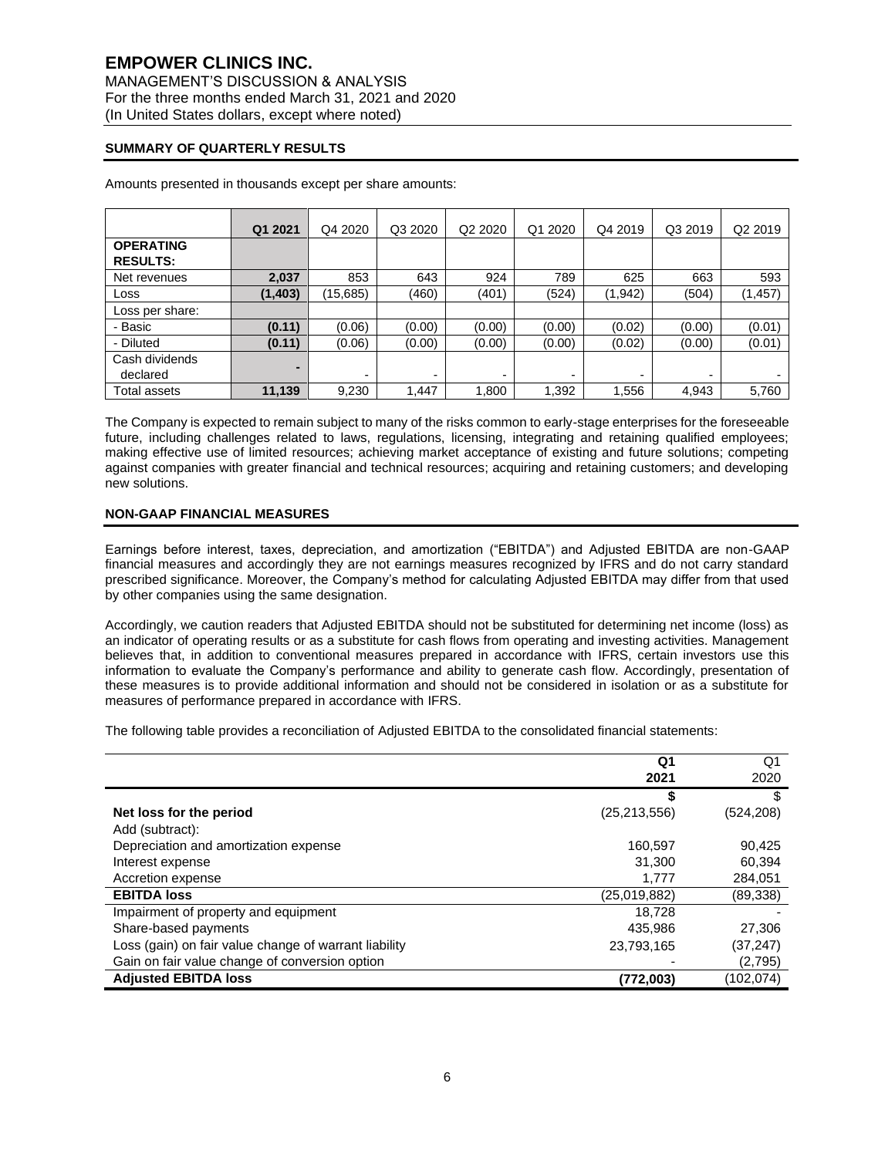## **SUMMARY OF QUARTERLY RESULTS**

|                                     | Q1 2021  | Q4 2020  | Q3 2020 | Q <sub>2</sub> 20 <sub>20</sub> | Q1 2020 | Q4 2019 | Q3 2019 | Q2 2019  |
|-------------------------------------|----------|----------|---------|---------------------------------|---------|---------|---------|----------|
| <b>OPERATING</b><br><b>RESULTS:</b> |          |          |         |                                 |         |         |         |          |
| Net revenues                        | 2,037    | 853      | 643     | 924                             | 789     | 625     | 663     | 593      |
| Loss                                | (1, 403) | (15,685) | (460)   | (401)                           | (524)   | (1,942) | (504)   | (1, 457) |
| Loss per share:                     |          |          |         |                                 |         |         |         |          |
| - Basic                             | (0.11)   | (0.06)   | (0.00)  | (0.00)                          | (0.00)  | (0.02)  | (0.00)  | (0.01)   |
| - Diluted                           | (0.11)   | (0.06)   | (0.00)  | (0.00)                          | (0.00)  | (0.02)  | (0.00)  | (0.01)   |
| Cash dividends<br>declared          | ۰        | ۰        | ۰       | $\overline{\phantom{0}}$        | -       | ۰       | -       |          |
| Total assets                        | 11,139   | 9,230    | 1,447   | 1,800                           | 1,392   | 1,556   | 4,943   | 5,760    |

Amounts presented in thousands except per share amounts:

The Company is expected to remain subject to many of the risks common to early-stage enterprises for the foreseeable future, including challenges related to laws, regulations, licensing, integrating and retaining qualified employees; making effective use of limited resources; achieving market acceptance of existing and future solutions; competing against companies with greater financial and technical resources; acquiring and retaining customers; and developing new solutions.

## **NON-GAAP FINANCIAL MEASURES**

Earnings before interest, taxes, depreciation, and amortization ("EBITDA") and Adjusted EBITDA are non-GAAP financial measures and accordingly they are not earnings measures recognized by IFRS and do not carry standard prescribed significance. Moreover, the Company's method for calculating Adjusted EBITDA may differ from that used by other companies using the same designation.

Accordingly, we caution readers that Adjusted EBITDA should not be substituted for determining net income (loss) as an indicator of operating results or as a substitute for cash flows from operating and investing activities. Management believes that, in addition to conventional measures prepared in accordance with IFRS, certain investors use this information to evaluate the Company's performance and ability to generate cash flow. Accordingly, presentation of these measures is to provide additional information and should not be considered in isolation or as a substitute for measures of performance prepared in accordance with IFRS.

The following table provides a reconciliation of Adjusted EBITDA to the consolidated financial statements:

|                                                       | Q <sub>1</sub> | Q1         |
|-------------------------------------------------------|----------------|------------|
|                                                       | 2021           | 2020       |
|                                                       |                |            |
| Net loss for the period                               | (25, 213, 556) | (524, 208) |
| Add (subtract):                                       |                |            |
| Depreciation and amortization expense                 | 160.597        | 90,425     |
| Interest expense                                      | 31,300         | 60.394     |
| Accretion expense                                     | 1,777          | 284,051    |
| <b>EBITDA loss</b>                                    | (25,019,882)   | (89,338)   |
| Impairment of property and equipment                  | 18.728         |            |
| Share-based payments                                  | 435,986        | 27,306     |
| Loss (gain) on fair value change of warrant liability | 23,793,165     | (37,247)   |
| Gain on fair value change of conversion option        |                | (2,795)    |
| <b>Adjusted EBITDA loss</b>                           | (772,003)      | (102,074)  |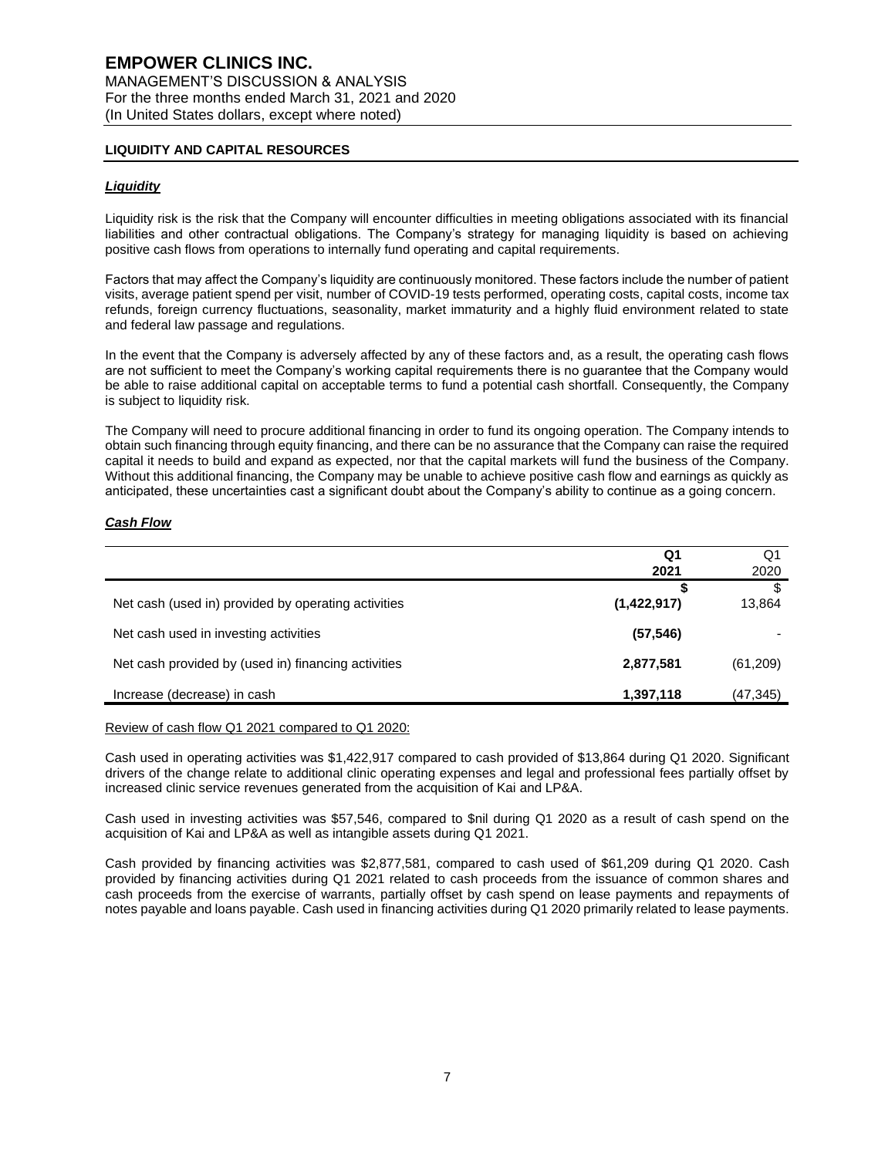## **LIQUIDITY AND CAPITAL RESOURCES**

#### *Liquidity*

Liquidity risk is the risk that the Company will encounter difficulties in meeting obligations associated with its financial liabilities and other contractual obligations. The Company's strategy for managing liquidity is based on achieving positive cash flows from operations to internally fund operating and capital requirements.

Factors that may affect the Company's liquidity are continuously monitored. These factors include the number of patient visits, average patient spend per visit, number of COVID-19 tests performed, operating costs, capital costs, income tax refunds, foreign currency fluctuations, seasonality, market immaturity and a highly fluid environment related to state and federal law passage and regulations.

In the event that the Company is adversely affected by any of these factors and, as a result, the operating cash flows are not sufficient to meet the Company's working capital requirements there is no guarantee that the Company would be able to raise additional capital on acceptable terms to fund a potential cash shortfall. Consequently, the Company is subject to liquidity risk.

The Company will need to procure additional financing in order to fund its ongoing operation. The Company intends to obtain such financing through equity financing, and there can be no assurance that the Company can raise the required capital it needs to build and expand as expected, nor that the capital markets will fund the business of the Company. Without this additional financing, the Company may be unable to achieve positive cash flow and earnings as quickly as anticipated, these uncertainties cast a significant doubt about the Company's ability to continue as a going concern.

#### *Cash Flow*

|                                                     | Q1<br>2021  | Q1<br>2020   |
|-----------------------------------------------------|-------------|--------------|
| Net cash (used in) provided by operating activities | (1,422,917) | \$<br>13,864 |
| Net cash used in investing activities               | (57, 546)   |              |
| Net cash provided by (used in) financing activities | 2,877,581   | (61,209)     |
| Increase (decrease) in cash                         | 1,397,118   | (47, 345)    |

Review of cash flow Q1 2021 compared to Q1 2020:

Cash used in operating activities was \$1,422,917 compared to cash provided of \$13,864 during Q1 2020. Significant drivers of the change relate to additional clinic operating expenses and legal and professional fees partially offset by increased clinic service revenues generated from the acquisition of Kai and LP&A.

Cash used in investing activities was \$57,546, compared to \$nil during Q1 2020 as a result of cash spend on the acquisition of Kai and LP&A as well as intangible assets during Q1 2021.

Cash provided by financing activities was \$2,877,581, compared to cash used of \$61,209 during Q1 2020. Cash provided by financing activities during Q1 2021 related to cash proceeds from the issuance of common shares and cash proceeds from the exercise of warrants, partially offset by cash spend on lease payments and repayments of notes payable and loans payable. Cash used in financing activities during Q1 2020 primarily related to lease payments.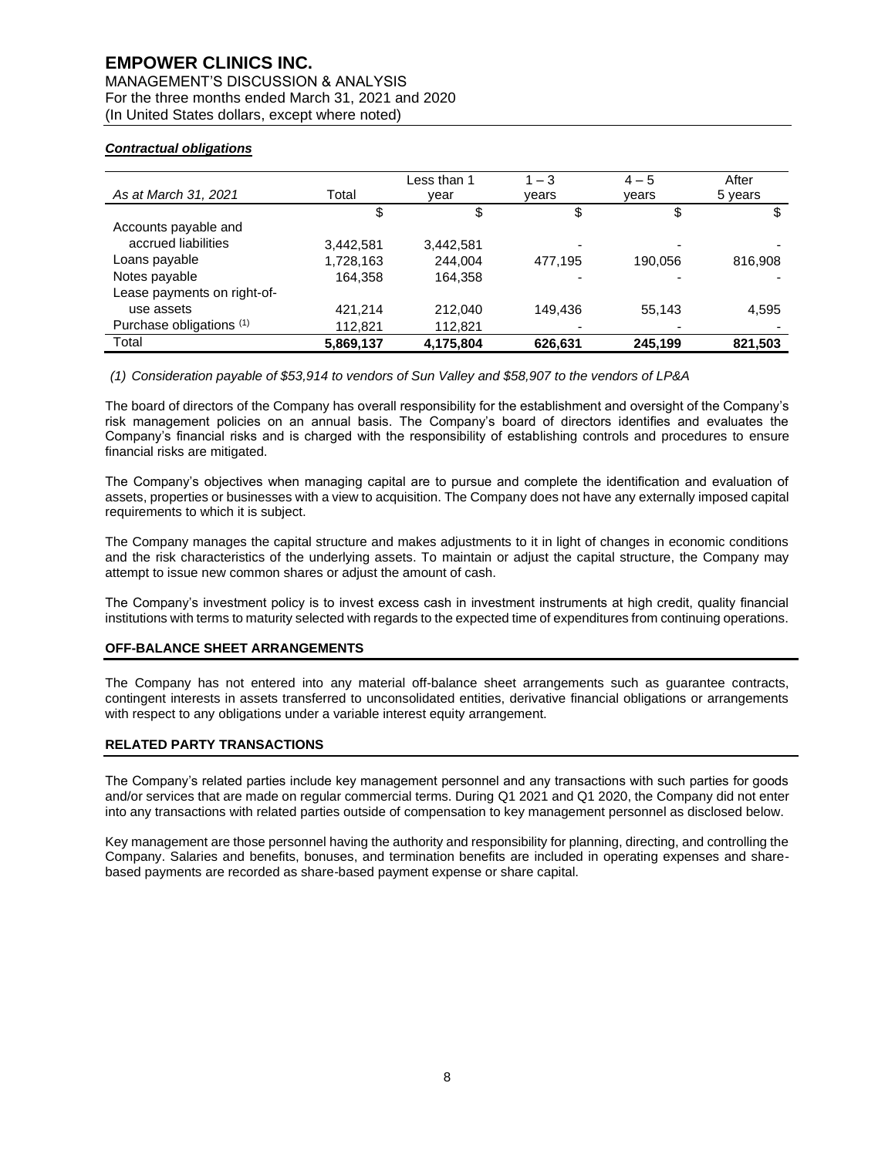# **EMPOWER CLINICS INC.**

MANAGEMENT'S DISCUSSION & ANALYSIS For the three months ended March 31, 2021 and 2020 (In United States dollars, except where noted)

## *Contractual obligations*

| As at March 31, 2021        | Total     | Less than 1<br>vear | $1 - 3$<br>years | $4 - 5$<br>years | After<br>5 years |
|-----------------------------|-----------|---------------------|------------------|------------------|------------------|
|                             | \$        | \$                  | \$               | \$               |                  |
| Accounts payable and        |           |                     |                  |                  |                  |
| accrued liabilities         | 3,442,581 | 3,442,581           |                  |                  |                  |
| Loans payable               | 1,728,163 | 244.004             | 477.195          | 190,056          | 816,908          |
| Notes payable               | 164,358   | 164,358             |                  |                  |                  |
| Lease payments on right-of- |           |                     |                  |                  |                  |
| use assets                  | 421.214   | 212.040             | 149.436          | 55,143           | 4,595            |
| Purchase obligations (1)    | 112,821   | 112,821             |                  |                  |                  |
| Total                       | 5,869,137 | 4,175,804           | 626,631          | 245,199          | 821,503          |

*(1) Consideration payable of \$53,914 to vendors of Sun Valley and \$58,907 to the vendors of LP&A*

The board of directors of the Company has overall responsibility for the establishment and oversight of the Company's risk management policies on an annual basis. The Company's board of directors identifies and evaluates the Company's financial risks and is charged with the responsibility of establishing controls and procedures to ensure financial risks are mitigated.

The Company's objectives when managing capital are to pursue and complete the identification and evaluation of assets, properties or businesses with a view to acquisition. The Company does not have any externally imposed capital requirements to which it is subject.

The Company manages the capital structure and makes adjustments to it in light of changes in economic conditions and the risk characteristics of the underlying assets. To maintain or adjust the capital structure, the Company may attempt to issue new common shares or adjust the amount of cash.

The Company's investment policy is to invest excess cash in investment instruments at high credit, quality financial institutions with terms to maturity selected with regards to the expected time of expenditures from continuing operations.

#### **OFF-BALANCE SHEET ARRANGEMENTS**

The Company has not entered into any material off-balance sheet arrangements such as guarantee contracts, contingent interests in assets transferred to unconsolidated entities, derivative financial obligations or arrangements with respect to any obligations under a variable interest equity arrangement.

## **RELATED PARTY TRANSACTIONS**

The Company's related parties include key management personnel and any transactions with such parties for goods and/or services that are made on regular commercial terms. During Q1 2021 and Q1 2020, the Company did not enter into any transactions with related parties outside of compensation to key management personnel as disclosed below.

Key management are those personnel having the authority and responsibility for planning, directing, and controlling the Company. Salaries and benefits, bonuses, and termination benefits are included in operating expenses and sharebased payments are recorded as share-based payment expense or share capital.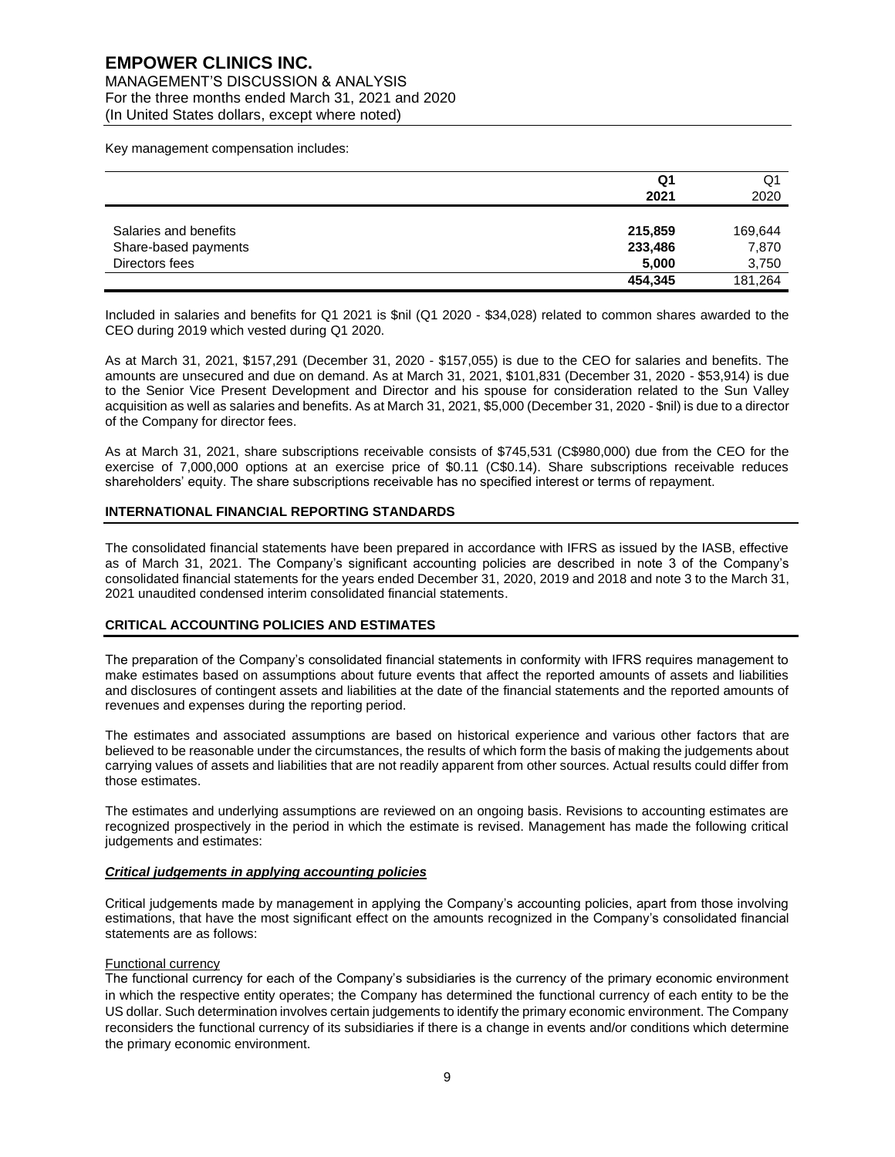MANAGEMENT'S DISCUSSION & ANALYSIS For the three months ended March 31, 2021 and 2020 (In United States dollars, except where noted)

Key management compensation includes:

|                       | Q1<br>2021 | Q<br>2020 |
|-----------------------|------------|-----------|
|                       |            |           |
| Salaries and benefits | 215,859    | 169,644   |
| Share-based payments  | 233,486    | 7,870     |
| Directors fees        | 5,000      | 3,750     |
|                       | 454,345    | 181,264   |

Included in salaries and benefits for Q1 2021 is \$nil (Q1 2020 - \$34,028) related to common shares awarded to the CEO during 2019 which vested during Q1 2020.

As at March 31, 2021, \$157,291 (December 31, 2020 - \$157,055) is due to the CEO for salaries and benefits. The amounts are unsecured and due on demand. As at March 31, 2021, \$101,831 (December 31, 2020 - \$53,914) is due to the Senior Vice Present Development and Director and his spouse for consideration related to the Sun Valley acquisition as well as salaries and benefits. As at March 31, 2021, \$5,000 (December 31, 2020 - \$nil) is due to a director of the Company for director fees.

As at March 31, 2021, share subscriptions receivable consists of \$745,531 (C\$980,000) due from the CEO for the exercise of 7,000,000 options at an exercise price of \$0.11 (C\$0.14). Share subscriptions receivable reduces shareholders' equity. The share subscriptions receivable has no specified interest or terms of repayment.

#### **INTERNATIONAL FINANCIAL REPORTING STANDARDS**

The consolidated financial statements have been prepared in accordance with IFRS as issued by the IASB, effective as of March 31, 2021. The Company's significant accounting policies are described in note 3 of the Company's consolidated financial statements for the years ended December 31, 2020, 2019 and 2018 and note 3 to the March 31, 2021 unaudited condensed interim consolidated financial statements.

## **CRITICAL ACCOUNTING POLICIES AND ESTIMATES**

The preparation of the Company's consolidated financial statements in conformity with IFRS requires management to make estimates based on assumptions about future events that affect the reported amounts of assets and liabilities and disclosures of contingent assets and liabilities at the date of the financial statements and the reported amounts of revenues and expenses during the reporting period.

The estimates and associated assumptions are based on historical experience and various other factors that are believed to be reasonable under the circumstances, the results of which form the basis of making the judgements about carrying values of assets and liabilities that are not readily apparent from other sources. Actual results could differ from those estimates.

The estimates and underlying assumptions are reviewed on an ongoing basis. Revisions to accounting estimates are recognized prospectively in the period in which the estimate is revised. Management has made the following critical judgements and estimates:

#### *Critical judgements in applying accounting policies*

Critical judgements made by management in applying the Company's accounting policies, apart from those involving estimations, that have the most significant effect on the amounts recognized in the Company's consolidated financial statements are as follows:

#### Functional currency

The functional currency for each of the Company's subsidiaries is the currency of the primary economic environment in which the respective entity operates; the Company has determined the functional currency of each entity to be the US dollar. Such determination involves certain judgements to identify the primary economic environment. The Company reconsiders the functional currency of its subsidiaries if there is a change in events and/or conditions which determine the primary economic environment.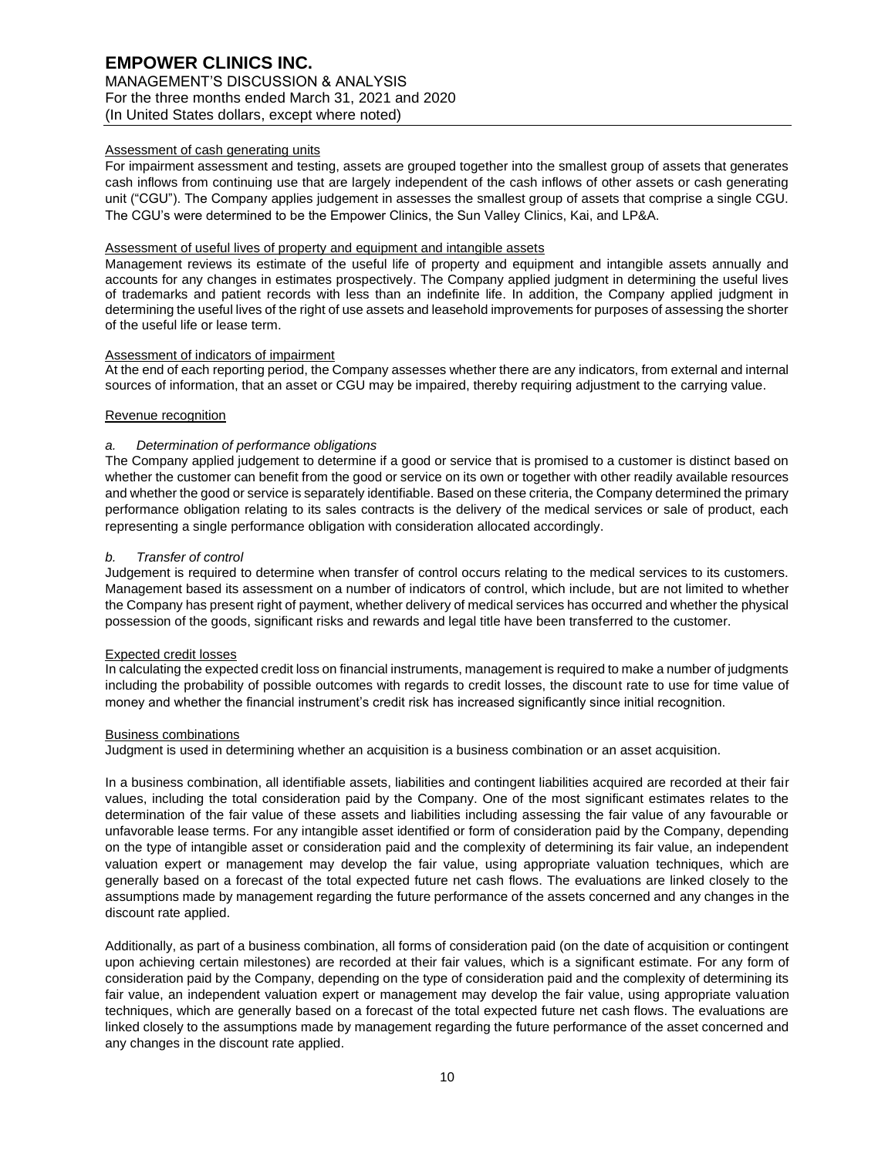# **EMPOWER CLINICS INC.** MANAGEMENT'S DISCUSSION & ANALYSIS

For the three months ended March 31, 2021 and 2020 (In United States dollars, except where noted)

## Assessment of cash generating units

For impairment assessment and testing, assets are grouped together into the smallest group of assets that generates cash inflows from continuing use that are largely independent of the cash inflows of other assets or cash generating unit ("CGU"). The Company applies judgement in assesses the smallest group of assets that comprise a single CGU. The CGU's were determined to be the Empower Clinics, the Sun Valley Clinics, Kai, and LP&A.

## Assessment of useful lives of property and equipment and intangible assets

Management reviews its estimate of the useful life of property and equipment and intangible assets annually and accounts for any changes in estimates prospectively. The Company applied judgment in determining the useful lives of trademarks and patient records with less than an indefinite life. In addition, the Company applied judgment in determining the useful lives of the right of use assets and leasehold improvements for purposes of assessing the shorter of the useful life or lease term.

## Assessment of indicators of impairment

At the end of each reporting period, the Company assesses whether there are any indicators, from external and internal sources of information, that an asset or CGU may be impaired, thereby requiring adjustment to the carrying value.

## Revenue recognition

## *a. Determination of performance obligations*

The Company applied judgement to determine if a good or service that is promised to a customer is distinct based on whether the customer can benefit from the good or service on its own or together with other readily available resources and whether the good or service is separately identifiable. Based on these criteria, the Company determined the primary performance obligation relating to its sales contracts is the delivery of the medical services or sale of product, each representing a single performance obligation with consideration allocated accordingly.

## *b. Transfer of control*

Judgement is required to determine when transfer of control occurs relating to the medical services to its customers. Management based its assessment on a number of indicators of control, which include, but are not limited to whether the Company has present right of payment, whether delivery of medical services has occurred and whether the physical possession of the goods, significant risks and rewards and legal title have been transferred to the customer.

#### Expected credit losses

In calculating the expected credit loss on financial instruments, management is required to make a number of judgments including the probability of possible outcomes with regards to credit losses, the discount rate to use for time value of money and whether the financial instrument's credit risk has increased significantly since initial recognition.

#### Business combinations

Judgment is used in determining whether an acquisition is a business combination or an asset acquisition.

In a business combination, all identifiable assets, liabilities and contingent liabilities acquired are recorded at their fair values, including the total consideration paid by the Company. One of the most significant estimates relates to the determination of the fair value of these assets and liabilities including assessing the fair value of any favourable or unfavorable lease terms. For any intangible asset identified or form of consideration paid by the Company, depending on the type of intangible asset or consideration paid and the complexity of determining its fair value, an independent valuation expert or management may develop the fair value, using appropriate valuation techniques, which are generally based on a forecast of the total expected future net cash flows. The evaluations are linked closely to the assumptions made by management regarding the future performance of the assets concerned and any changes in the discount rate applied.

Additionally, as part of a business combination, all forms of consideration paid (on the date of acquisition or contingent upon achieving certain milestones) are recorded at their fair values, which is a significant estimate. For any form of consideration paid by the Company, depending on the type of consideration paid and the complexity of determining its fair value, an independent valuation expert or management may develop the fair value, using appropriate valuation techniques, which are generally based on a forecast of the total expected future net cash flows. The evaluations are linked closely to the assumptions made by management regarding the future performance of the asset concerned and any changes in the discount rate applied.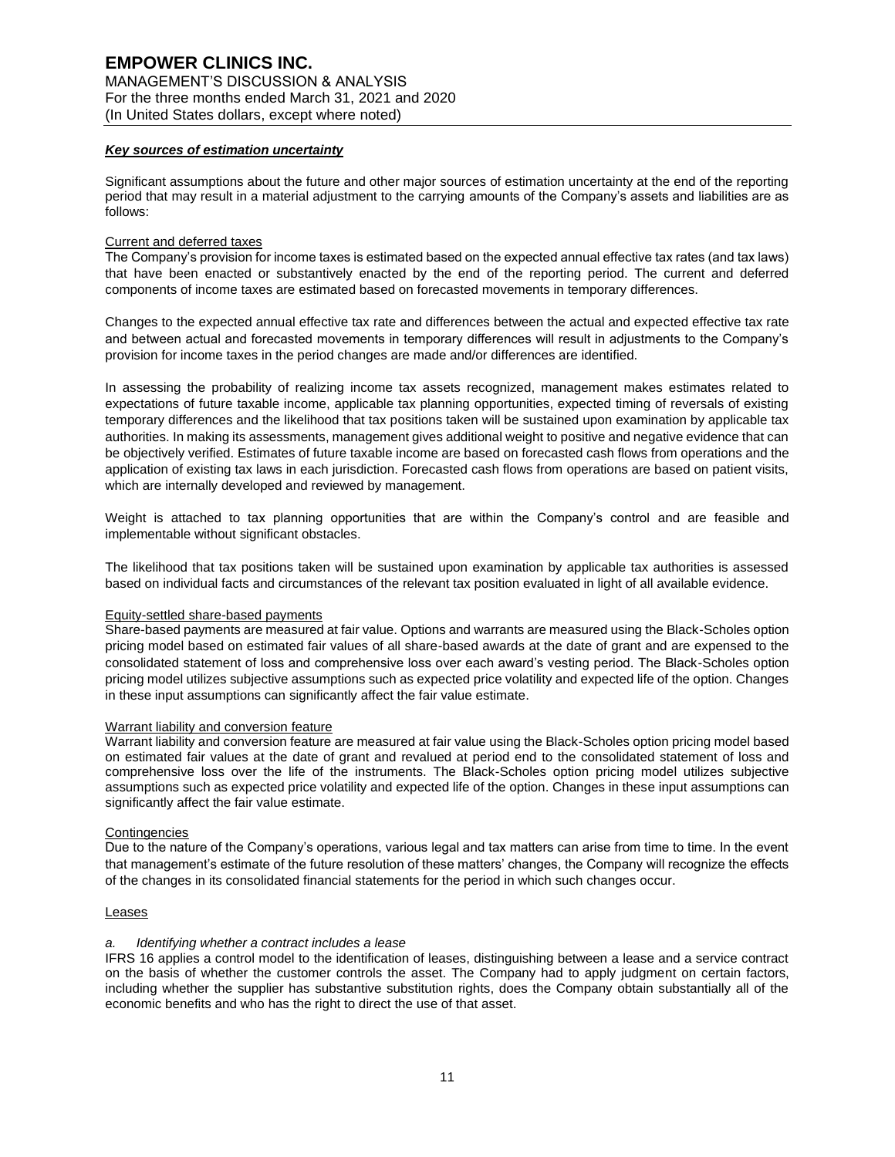#### *Key sources of estimation uncertainty*

Significant assumptions about the future and other major sources of estimation uncertainty at the end of the reporting period that may result in a material adjustment to the carrying amounts of the Company's assets and liabilities are as follows:

#### Current and deferred taxes

The Company's provision for income taxes is estimated based on the expected annual effective tax rates (and tax laws) that have been enacted or substantively enacted by the end of the reporting period. The current and deferred components of income taxes are estimated based on forecasted movements in temporary differences.

Changes to the expected annual effective tax rate and differences between the actual and expected effective tax rate and between actual and forecasted movements in temporary differences will result in adjustments to the Company's provision for income taxes in the period changes are made and/or differences are identified.

In assessing the probability of realizing income tax assets recognized, management makes estimates related to expectations of future taxable income, applicable tax planning opportunities, expected timing of reversals of existing temporary differences and the likelihood that tax positions taken will be sustained upon examination by applicable tax authorities. In making its assessments, management gives additional weight to positive and negative evidence that can be objectively verified. Estimates of future taxable income are based on forecasted cash flows from operations and the application of existing tax laws in each jurisdiction. Forecasted cash flows from operations are based on patient visits, which are internally developed and reviewed by management.

Weight is attached to tax planning opportunities that are within the Company's control and are feasible and implementable without significant obstacles.

The likelihood that tax positions taken will be sustained upon examination by applicable tax authorities is assessed based on individual facts and circumstances of the relevant tax position evaluated in light of all available evidence.

#### Equity-settled share-based payments

Share-based payments are measured at fair value. Options and warrants are measured using the Black-Scholes option pricing model based on estimated fair values of all share-based awards at the date of grant and are expensed to the consolidated statement of loss and comprehensive loss over each award's vesting period. The Black-Scholes option pricing model utilizes subjective assumptions such as expected price volatility and expected life of the option. Changes in these input assumptions can significantly affect the fair value estimate.

#### Warrant liability and conversion feature

Warrant liability and conversion feature are measured at fair value using the Black-Scholes option pricing model based on estimated fair values at the date of grant and revalued at period end to the consolidated statement of loss and comprehensive loss over the life of the instruments. The Black-Scholes option pricing model utilizes subjective assumptions such as expected price volatility and expected life of the option. Changes in these input assumptions can significantly affect the fair value estimate.

#### **Contingencies**

Due to the nature of the Company's operations, various legal and tax matters can arise from time to time. In the event that management's estimate of the future resolution of these matters' changes, the Company will recognize the effects of the changes in its consolidated financial statements for the period in which such changes occur.

#### Leases

#### *a. Identifying whether a contract includes a lease*

IFRS 16 applies a control model to the identification of leases, distinguishing between a lease and a service contract on the basis of whether the customer controls the asset. The Company had to apply judgment on certain factors, including whether the supplier has substantive substitution rights, does the Company obtain substantially all of the economic benefits and who has the right to direct the use of that asset.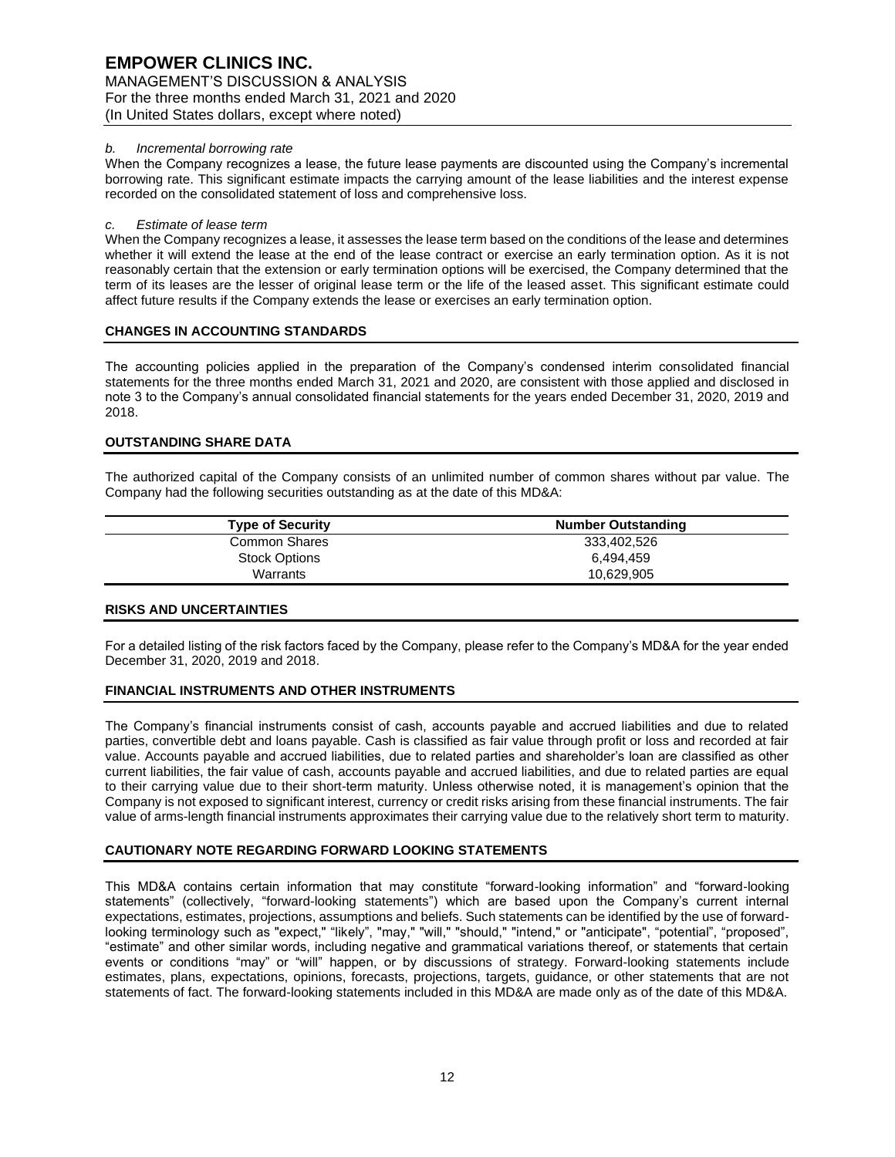## **EMPOWER CLINICS INC.** MANAGEMENT'S DISCUSSION & ANALYSIS For the three months ended March 31, 2021 and 2020 (In United States dollars, except where noted)

#### *b. Incremental borrowing rate*

When the Company recognizes a lease, the future lease payments are discounted using the Company's incremental borrowing rate. This significant estimate impacts the carrying amount of the lease liabilities and the interest expense recorded on the consolidated statement of loss and comprehensive loss.

#### *c. Estimate of lease term*

When the Company recognizes a lease, it assesses the lease term based on the conditions of the lease and determines whether it will extend the lease at the end of the lease contract or exercise an early termination option. As it is not reasonably certain that the extension or early termination options will be exercised, the Company determined that the term of its leases are the lesser of original lease term or the life of the leased asset. This significant estimate could affect future results if the Company extends the lease or exercises an early termination option.

## **CHANGES IN ACCOUNTING STANDARDS**

The accounting policies applied in the preparation of the Company's condensed interim consolidated financial statements for the three months ended March 31, 2021 and 2020, are consistent with those applied and disclosed in note 3 to the Company's annual consolidated financial statements for the years ended December 31, 2020, 2019 and 2018.

## **OUTSTANDING SHARE DATA**

The authorized capital of the Company consists of an unlimited number of common shares without par value. The Company had the following securities outstanding as at the date of this MD&A:

| <b>Type of Security</b> | <b>Number Outstanding</b> |  |  |
|-------------------------|---------------------------|--|--|
| Common Shares           | 333,402,526               |  |  |
| <b>Stock Options</b>    | 6.494.459                 |  |  |
| Warrants                | 10,629,905                |  |  |

#### **RISKS AND UNCERTAINTIES**

For a detailed listing of the risk factors faced by the Company, please refer to the Company's MD&A for the year ended December 31, 2020, 2019 and 2018.

## **FINANCIAL INSTRUMENTS AND OTHER INSTRUMENTS**

The Company's financial instruments consist of cash, accounts payable and accrued liabilities and due to related parties, convertible debt and loans payable. Cash is classified as fair value through profit or loss and recorded at fair value. Accounts payable and accrued liabilities, due to related parties and shareholder's loan are classified as other current liabilities, the fair value of cash, accounts payable and accrued liabilities, and due to related parties are equal to their carrying value due to their short-term maturity. Unless otherwise noted, it is management's opinion that the Company is not exposed to significant interest, currency or credit risks arising from these financial instruments. The fair value of arms-length financial instruments approximates their carrying value due to the relatively short term to maturity.

## **CAUTIONARY NOTE REGARDING FORWARD LOOKING STATEMENTS**

This MD&A contains certain information that may constitute "forward-looking information" and "forward-looking statements" (collectively, "forward-looking statements") which are based upon the Company's current internal expectations, estimates, projections, assumptions and beliefs. Such statements can be identified by the use of forwardlooking terminology such as "expect," "likely", "may," "will," "should," "intend," or "anticipate", "potential", "proposed", "estimate" and other similar words, including negative and grammatical variations thereof, or statements that certain events or conditions "may" or "will" happen, or by discussions of strategy. Forward-looking statements include estimates, plans, expectations, opinions, forecasts, projections, targets, guidance, or other statements that are not statements of fact. The forward-looking statements included in this MD&A are made only as of the date of this MD&A.